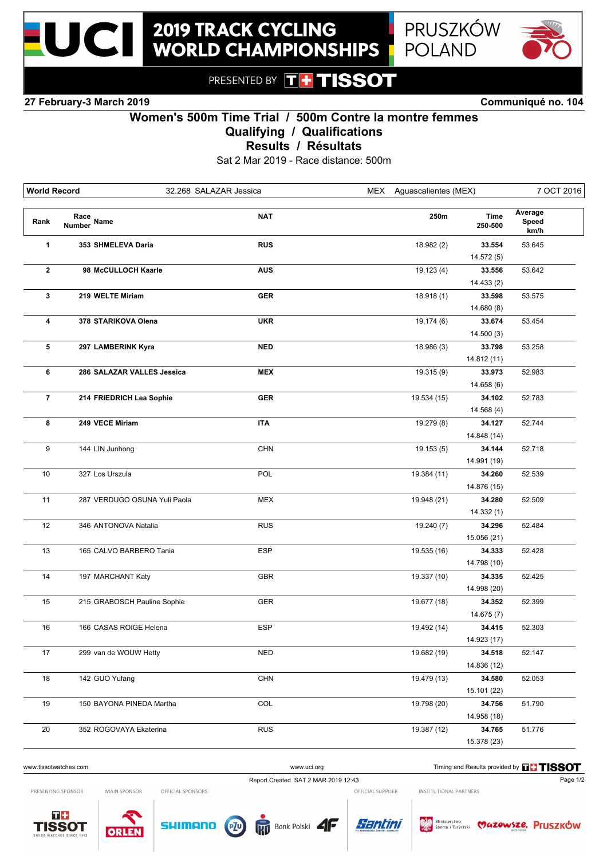



PRESENTED BY **THE TISSOT** 

**27 February-3 March 2019 Communiqué no. 104**

## **Women's 500m Time Trial / 500m Contre la montre femmes**

**Qualifying / Qualifications**

**Results / Résultats**

Sat 2 Mar 2019 - Race distance: 500m

| <b>World Record</b> | 32.268 SALAZAR Jessica       |            | MEX         | Aguascalientes (MEX)   |                          | 7 OCT 2016 |  |
|---------------------|------------------------------|------------|-------------|------------------------|--------------------------|------------|--|
| Rank                | Race<br>Number Name          | <b>NAT</b> | 250m        | <b>Time</b><br>250-500 | Average<br>Speed<br>km/h |            |  |
| 1                   | 353 SHMELEVA Daria           | <b>RUS</b> | 18.982 (2)  | 33.554                 | 53.645                   |            |  |
|                     |                              |            |             | 14.572 (5)             |                          |            |  |
| $\mathbf{2}$        | 98 McCULLOCH Kaarle          | <b>AUS</b> | 19.123(4)   | 33.556                 | 53.642                   |            |  |
|                     |                              |            |             | 14.433 (2)             |                          |            |  |
| 3                   | 219 WELTE Miriam             | <b>GER</b> | 18.918(1)   | 33.598                 | 53.575                   |            |  |
|                     |                              |            |             | 14.680 (8)             |                          |            |  |
| 4                   | 378 STARIKOVA Olena          | <b>UKR</b> | 19.174 (6)  | 33.674                 | 53.454                   |            |  |
|                     |                              |            |             | 14.500(3)              |                          |            |  |
| 5                   | 297 LAMBERINK Kyra           | <b>NED</b> | 18.986 (3)  | 33.798                 | 53.258                   |            |  |
|                     |                              |            |             | 14.812 (11)            |                          |            |  |
| 6                   | 286 SALAZAR VALLES Jessica   | <b>MEX</b> | 19.315 (9)  | 33.973                 | 52.983                   |            |  |
|                     |                              |            |             | 14.658 (6)             |                          |            |  |
| $\overline{7}$      | 214 FRIEDRICH Lea Sophie     | <b>GER</b> | 19.534 (15) | 34.102                 | 52.783                   |            |  |
|                     |                              |            |             | 14.568 (4)             |                          |            |  |
| 8                   | 249 VECE Miriam              | <b>ITA</b> | 19.279 (8)  | 34.127                 | 52.744                   |            |  |
|                     |                              |            |             | 14.848 (14)            |                          |            |  |
| 9                   | 144 LIN Junhong              | <b>CHN</b> | 19.153(5)   | 34.144                 | 52.718                   |            |  |
|                     |                              |            |             | 14.991 (19)            |                          |            |  |
| 10                  | 327 Los Urszula              | POL        | 19.384 (11) | 34.260                 | 52.539                   |            |  |
|                     |                              |            |             | 14.876 (15)            |                          |            |  |
| 11                  | 287 VERDUGO OSUNA Yuli Paola | <b>MEX</b> | 19.948 (21) | 34.280                 | 52.509                   |            |  |
|                     |                              |            |             | 14.332(1)              |                          |            |  |
| 12                  | 346 ANTONOVA Natalia         | <b>RUS</b> | 19.240 (7)  | 34.296                 | 52.484                   |            |  |
|                     |                              |            |             | 15.056 (21)            |                          |            |  |
| 13                  | 165 CALVO BARBERO Tania      | <b>ESP</b> | 19.535 (16) | 34.333                 | 52.428                   |            |  |
|                     |                              |            |             | 14.798 (10)            |                          |            |  |
| 14                  | 197 MARCHANT Katy            | GBR        | 19.337 (10) | 34.335                 | 52.425                   |            |  |
|                     |                              |            |             | 14.998 (20)            |                          |            |  |
| 15                  | 215 GRABOSCH Pauline Sophie  | GER        | 19.677 (18) | 34.352                 | 52.399                   |            |  |
|                     |                              |            |             | 14.675(7)              |                          |            |  |
| 16                  | 166 CASAS ROIGE Helena       | <b>ESP</b> | 19.492 (14) | 34.415                 | 52.303                   |            |  |
|                     |                              |            |             | 14.923 (17)            |                          |            |  |
| 17                  | 299 van de WOUW Hetty        | <b>NED</b> | 19.682 (19) | 34.518                 | 52.147                   |            |  |
|                     |                              |            |             | 14.836 (12)            |                          |            |  |
| 18                  | 142 GUO Yufang               | CHN        | 19.479 (13) | 34.580                 | 52.053                   |            |  |
|                     |                              |            |             | 15.101 (22)            |                          |            |  |
| 19                  | 150 BAYONA PINEDA Martha     | COL        | 19.798 (20) | 34.756                 | 51.790                   |            |  |
|                     |                              |            |             | 14.958 (18)            |                          |            |  |
| 20                  | 352 ROGOVAYA Ekaterina       | <b>RUS</b> | 19.387 (12) | 34.765                 | 51.776                   |            |  |
|                     |                              |            |             | 15.378 (23)            |                          |            |  |

## www.uci.org Timing and Results provided by **THSSOT**

PRESENTING SPONSOR

MAIN SPONSOR OFFICIAL SPONSORS Report Created SAT 2 MAR 2019 12:43 Page 1/2

OFFICIAL SUPPLIER INSTITUTIONAL PARTNERS